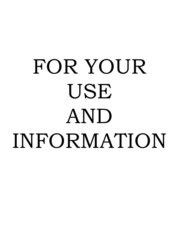# FOR YOUR USE AND INFORMATION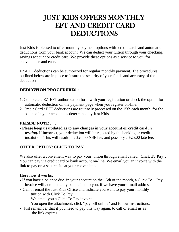### JUST KIDS OFFERS MONTHLY EFT AND CREDIT CARD DEDUCTIONS

Just Kids is pleased to offer monthly payment options with credit cards and automatic deductions from your bank account. We can deduct your tuition through your checking, savings account or credit card. We provide these options as a service to you, for convenience and ease.

EZ-EFT deductions can be authorized for regular monthly payment. The procedures outlined below are in place to insure the security of your funds and accuracy of the deductions.

#### **DEDUCTION PROCEDURES :**

- 1. Complete a EZ-EFT authorization form with your registration or check the option for automatic deduction on the payment page when you register on-line.
- 2. Credit Card / EFT deductions are routinely processed on the 15th each month for the balance in your account as determined by Just Kids.

#### **PLEASE NOTE . . .**

 **Please keep us updated as to any changes in your account or credit card** *in writing***.** If incorrect, your deduction will be rejected by the banking or credit institution. This will result in a \$20.00 NSF fee, and possibly a \$25.00 late fee.

#### **OTHER OPTION: CLICK TO PAY**

We also offer a convenient way to pay your tuition through email called "**Click To Pay**". You can pay via credit card or bank account on-line. We email you an invoice with the link to pay on a secure site at your convenience.

#### **Here how it works:**

- If you have a balance due in your account on the 15th of the month, a Click To Pay invoice will automatically be emailed to you, if we have your e-mail address.
- Call or email the Just Kids Office and indicate you want to pay your monthly tuition with Click To Pay.
	- We email you a Click To Pay invoice.
	- You open the attachment; click "pay bill online" and follow instructions.
- Just remember that if you need to pay this way again, to call or email us as the link expires.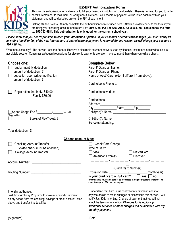

#### **EZ-EFT Authorization Form**

This simple authorization form allows us to bill your financial institution on the due date. There is no need for you to write checks, remember to mail them, or worry about late fees. Your record of payment will be listed each month on your statement and will be deducted only on the *15th* of each month.

Getting started is easy. Simply complete the authorization form included here. Attach a voided check to the form if you are using your checking account and return it to: **Just Kids, PO Box 668, Atco, NJ 08004. You can also fax the form to: 856-753-5884. This authorization is only good for the current school year.** 

*Please know that you are responsible to keep your information updated. If your account or credit card changes, you must notify us in writing (email or fax) of the new information. If your electronic payment is returned for any reason, we will charge your account a \$20 NSF fee.* 

What about security? The service uses the Federal Reserve's electronic payment network used by financial institutions nationwide, so it is absolutely secure. Consumer safeguard regulations for electronic payments are even more stringent than when you write a check.

| Choose one:<br>regular monthly deduction<br>amount of deduction: \$<br>deduction upon written notification<br>amount of deduction: \$                                                                                                                                                                                                                                                                | <b>Complete Below:</b><br>Name of Acct/ Cardholder(if different from above):<br>Cardholder's Phone #:                                                                                                                                                                                                                                                     |
|------------------------------------------------------------------------------------------------------------------------------------------------------------------------------------------------------------------------------------------------------------------------------------------------------------------------------------------------------------------------------------------------------|-----------------------------------------------------------------------------------------------------------------------------------------------------------------------------------------------------------------------------------------------------------------------------------------------------------------------------------------------------------|
| Registration fee: Indiv. \$40.00 ______________<br>Family \$70.00 ____________                                                                                                                                                                                                                                                                                                                       | Cardholder's work #:<br>Cardholder's<br>Address:<br>City:_________________State:_______Zip:________                                                                                                                                                                                                                                                       |
| (If applicable)<br>Books of FlexTickets \$                                                                                                                                                                                                                                                                                                                                                           |                                                                                                                                                                                                                                                                                                                                                           |
| Total deduction: \$                                                                                                                                                                                                                                                                                                                                                                                  |                                                                                                                                                                                                                                                                                                                                                           |
| Choose account type:                                                                                                                                                                                                                                                                                                                                                                                 |                                                                                                                                                                                                                                                                                                                                                           |
| <b>Checking Account Transfer</b><br>(voided check must be attached)<br>Savings Account Transfer                                                                                                                                                                                                                                                                                                      | Credit Card Charge<br>Type of Card:<br>Visa<br><b>MasterCard</b><br>American Express Discover                                                                                                                                                                                                                                                             |
|                                                                                                                                                                                                                                                                                                                                                                                                      | <u> 2002 - Andre Amerikan I</u>                                                                                                                                                                                                                                                                                                                           |
|                                                                                                                                                                                                                                                                                                                                                                                                      | (Credit Card Number)<br>Expiration date: __________________________________(month/year)<br>Is your credit card a FSA card? ■ Yes<br>no<br>Unfortunately, FSA cards cannot be processed through our system. Therefore, we<br>cannot accept an FSA card for payment.                                                                                        |
| I hereby authorize: and the state of the state of the state of the state of the state of the state of the state of the state of the state of the state of the state of the state of the state of the state of the state of the<br>Just Kids/ Archway Programs to make my periodic payment<br>on my behalf from the checking, savings or credit account listed<br>above and transfer it to Just Kids. | I understand that I am in full control of my payment, and if at<br>anytime decide to make changes or discontinue this service, I will<br>notify Just Kids in writing. Change of payment method will not<br>affect the terms of my tuition. Changes for late pick-up,<br>additional services or other charges will be included with my<br>monthly payment. |